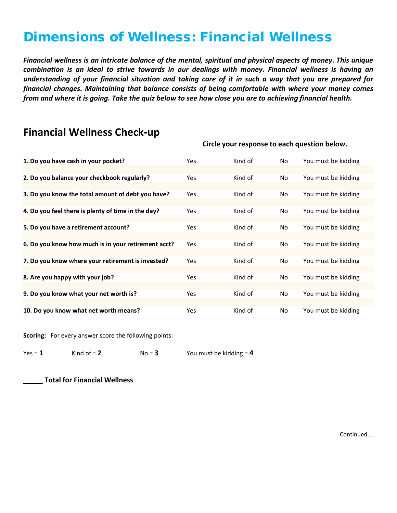## Dimensions of Wellness: Financial Wellness

*Financial wellness is an intricate balance of the mental, spiritual and physical aspects of money. This unique combination is an ideal to strive towards in our dealings with money. Financial wellness is having an understanding of your financial situation and taking care of it in such a way that you are prepared for financial changes. Maintaining that balance consists of being comfortable with where your money comes from and where it is going. Take the quiz below to see how close you are to achieving financial health.*

| 1. Do you have cash in your pocket?                 | Yes        | Kind of | No | You must be kidding |
|-----------------------------------------------------|------------|---------|----|---------------------|
|                                                     |            |         |    |                     |
| 2. Do you balance your checkbook regularly?         | Yes        | Kind of | No | You must be kidding |
|                                                     |            |         |    |                     |
| 3. Do you know the total amount of debt you have?   | <b>Yes</b> | Kind of | No | You must be kidding |
|                                                     |            |         |    |                     |
| 4. Do you feel there is plenty of time in the day?  | Yes        | Kind of | No | You must be kidding |
|                                                     |            |         |    |                     |
| 5. Do you have a retirement account?                | <b>Yes</b> | Kind of | No | You must be kidding |
|                                                     |            |         |    |                     |
| 6. Do you know how much is in your retirement acct? | <b>Yes</b> | Kind of | No | You must be kidding |
|                                                     |            |         |    |                     |
| 7. Do you know where your retirement is invested?   | Yes        | Kind of | No | You must be kidding |
|                                                     |            |         |    |                     |
| 8. Are you happy with your job?                     | <b>Yes</b> | Kind of | No | You must be kidding |
|                                                     |            |         |    |                     |
| 9. Do you know what your net worth is?              | Yes        | Kind of | No | You must be kidding |
|                                                     |            |         |    |                     |
| 10. Do you know what net worth means?               | Yes        | Kind of | No | You must be kidding |

## **Financial Wellness Check-up**<br>Circle your response to each question below.

**Scoring:** For every answer score the following points:

 $Yes = 1$  **Kind of = 2 No = 3 You must be kidding = 4** 

**\_\_\_\_\_ Total for Financial Wellness**

Continued….